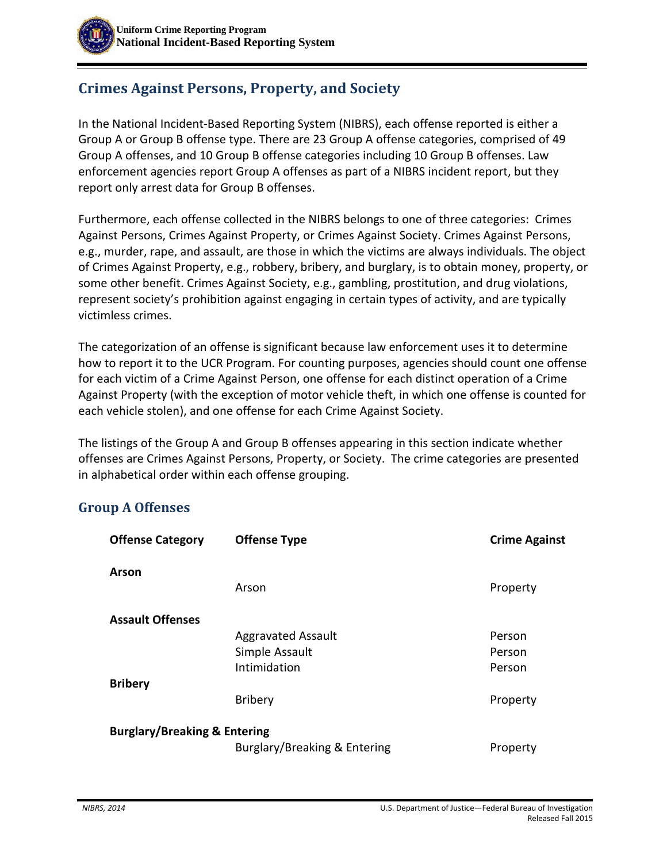# **Crimes Against Persons, Property, and Society**

In the National Incident-Based Reporting System (NIBRS), each offense reported is either a Group A or Group B offense type. There are 23 Group A offense categories, comprised of 49 Group A offenses, and 10 Group B offense categories including 10 Group B offenses. Law enforcement agencies report Group A offenses as part of a NIBRS incident report, but they report only arrest data for Group B offenses.

Furthermore, each offense collected in the NIBRS belongs to one of three categories: Crimes Against Persons, Crimes Against Property, or Crimes Against Society. Crimes Against Persons, e.g., murder, rape, and assault, are those in which the victims are always individuals. The object of Crimes Against Property, e.g., robbery, bribery, and burglary, is to obtain money, property, or some other benefit. Crimes Against Society, e.g., gambling, prostitution, and drug violations, represent society's prohibition against engaging in certain types of activity, and are typically victimless crimes.

The categorization of an offense is significant because law enforcement uses it to determine how to report it to the UCR Program. For counting purposes, agencies should count one offense for each victim of a Crime Against Person, one offense for each distinct operation of a Crime Against Property (with the exception of motor vehicle theft, in which one offense is counted for each vehicle stolen), and one offense for each Crime Against Society.

The listings of the Group A and Group B offenses appearing in this section indicate whether offenses are Crimes Against Persons, Property, or Society. The crime categories are presented in alphabetical order within each offense grouping.

#### **Group A Offenses**

| <b>Offense Category</b>                 | <b>Offense Type</b>          | <b>Crime Against</b> |  |  |
|-----------------------------------------|------------------------------|----------------------|--|--|
| Arson                                   |                              |                      |  |  |
|                                         | Arson                        | Property             |  |  |
| <b>Assault Offenses</b>                 |                              |                      |  |  |
|                                         | <b>Aggravated Assault</b>    | Person               |  |  |
|                                         | Simple Assault               | Person               |  |  |
|                                         | Intimidation                 | Person               |  |  |
| <b>Bribery</b>                          |                              |                      |  |  |
|                                         | <b>Bribery</b>               | Property             |  |  |
| <b>Burglary/Breaking &amp; Entering</b> |                              |                      |  |  |
|                                         | Burglary/Breaking & Entering | Property             |  |  |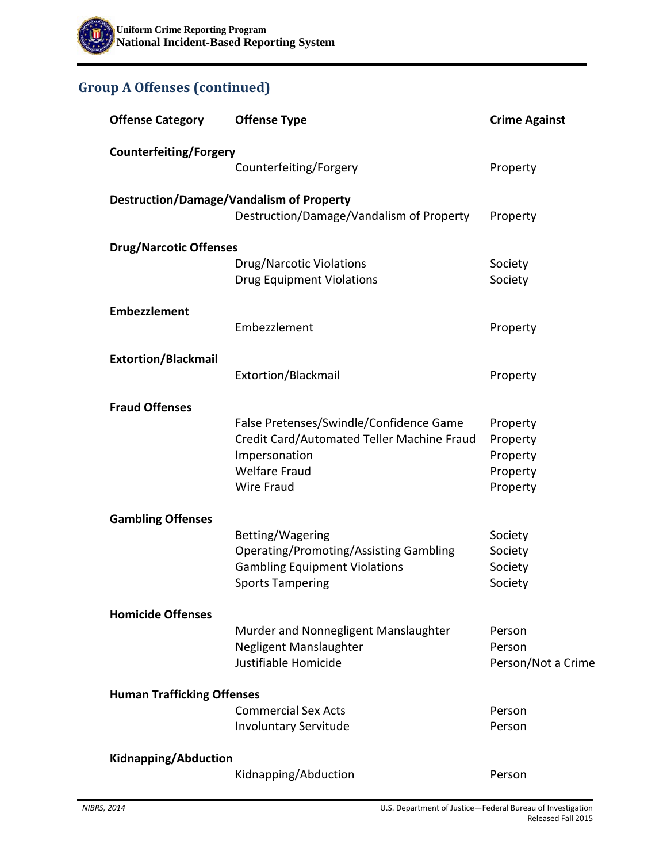## **Group A Offenses (continued)**

| <b>Offense Category</b>                         | <b>Offense Type</b>                           | <b>Crime Against</b> |  |  |  |
|-------------------------------------------------|-----------------------------------------------|----------------------|--|--|--|
| <b>Counterfeiting/Forgery</b>                   |                                               |                      |  |  |  |
|                                                 | Counterfeiting/Forgery                        | Property             |  |  |  |
| <b>Destruction/Damage/Vandalism of Property</b> |                                               |                      |  |  |  |
|                                                 | Destruction/Damage/Vandalism of Property      | Property             |  |  |  |
| <b>Drug/Narcotic Offenses</b>                   |                                               |                      |  |  |  |
|                                                 | <b>Drug/Narcotic Violations</b>               | Society              |  |  |  |
|                                                 | <b>Drug Equipment Violations</b>              | Society              |  |  |  |
| <b>Embezzlement</b>                             |                                               |                      |  |  |  |
|                                                 | Embezzlement                                  | Property             |  |  |  |
| <b>Extortion/Blackmail</b>                      |                                               |                      |  |  |  |
|                                                 | Extortion/Blackmail                           | Property             |  |  |  |
| <b>Fraud Offenses</b>                           |                                               |                      |  |  |  |
|                                                 | False Pretenses/Swindle/Confidence Game       | Property             |  |  |  |
|                                                 | Credit Card/Automated Teller Machine Fraud    | Property             |  |  |  |
|                                                 | Impersonation                                 | Property             |  |  |  |
|                                                 | <b>Welfare Fraud</b>                          | Property             |  |  |  |
|                                                 | Wire Fraud                                    | Property             |  |  |  |
| <b>Gambling Offenses</b>                        |                                               |                      |  |  |  |
|                                                 | Betting/Wagering                              | Society              |  |  |  |
|                                                 | <b>Operating/Promoting/Assisting Gambling</b> | Society              |  |  |  |
|                                                 | <b>Gambling Equipment Violations</b>          | Society              |  |  |  |
|                                                 | <b>Sports Tampering</b>                       | Society              |  |  |  |
| <b>Homicide Offenses</b>                        |                                               |                      |  |  |  |
|                                                 | Murder and Nonnegligent Manslaughter          | Person               |  |  |  |
|                                                 | Negligent Manslaughter                        | Person               |  |  |  |
|                                                 | Justifiable Homicide                          | Person/Not a Crime   |  |  |  |
| <b>Human Trafficking Offenses</b>               |                                               |                      |  |  |  |
|                                                 | <b>Commercial Sex Acts</b>                    | Person               |  |  |  |
|                                                 | <b>Involuntary Servitude</b>                  | Person               |  |  |  |
| Kidnapping/Abduction                            |                                               |                      |  |  |  |
|                                                 | Kidnapping/Abduction                          | Person               |  |  |  |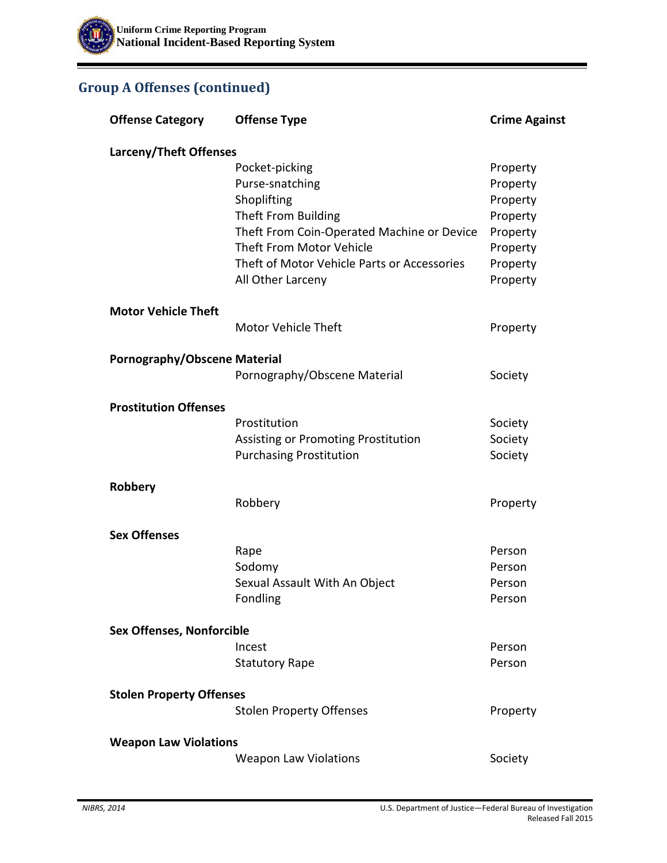## **Group A Offenses (continued)**

| <b>Offense Category</b>          | <b>Offense Type</b>                         | <b>Crime Against</b> |
|----------------------------------|---------------------------------------------|----------------------|
| Larceny/Theft Offenses           |                                             |                      |
|                                  | Pocket-picking                              | Property             |
|                                  | Purse-snatching                             | Property             |
|                                  | Shoplifting                                 | Property             |
|                                  | Theft From Building                         | Property             |
|                                  | Theft From Coin-Operated Machine or Device  | Property             |
|                                  | Theft From Motor Vehicle                    | Property             |
|                                  | Theft of Motor Vehicle Parts or Accessories | Property             |
|                                  | All Other Larceny                           | Property             |
| <b>Motor Vehicle Theft</b>       |                                             |                      |
|                                  | <b>Motor Vehicle Theft</b>                  | Property             |
| Pornography/Obscene Material     |                                             |                      |
|                                  | Pornography/Obscene Material                | Society              |
| <b>Prostitution Offenses</b>     |                                             |                      |
|                                  | Prostitution                                | Society              |
|                                  | Assisting or Promoting Prostitution         | Society              |
|                                  | <b>Purchasing Prostitution</b>              | Society              |
| Robbery                          |                                             |                      |
|                                  | Robbery                                     | Property             |
| <b>Sex Offenses</b>              |                                             |                      |
|                                  | Rape                                        | Person               |
|                                  | Sodomy                                      | Person               |
|                                  | Sexual Assault With An Object               | Person               |
|                                  | Fondling                                    | Person               |
| <b>Sex Offenses, Nonforcible</b> |                                             |                      |
|                                  | Incest                                      | Person               |
|                                  | <b>Statutory Rape</b>                       | Person               |
| <b>Stolen Property Offenses</b>  |                                             |                      |
|                                  | <b>Stolen Property Offenses</b>             | Property             |
| <b>Weapon Law Violations</b>     |                                             |                      |
|                                  | <b>Weapon Law Violations</b>                | Society              |